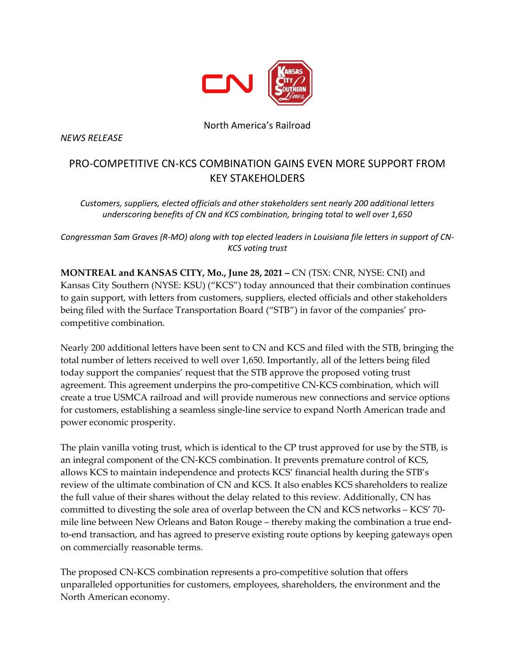

# North America's Railroad

*NEWS RELEASE*

# PRO-COMPETITIVE CN-KCS COMBINATION GAINS EVEN MORE SUPPORT FROM KEY STAKEHOLDERS

*Customers, suppliers, elected officials and other stakeholders sent nearly 200 additional letters underscoring benefits of CN and KCS combination, bringing total to well over 1,650*

*Congressman Sam Graves (R-MO) along with top elected leaders in Louisiana file letters in support of CN-KCS voting trust*

**MONTREAL and KANSAS CITY, Mo., June 28, 2021 –** CN (TSX: CNR, NYSE: CNI) and Kansas City Southern (NYSE: KSU) ("KCS") today announced that their combination continues to gain support, with letters from customers, suppliers, elected officials and other stakeholders being filed with the Surface Transportation Board ("STB") in favor of the companies' procompetitive combination.

Nearly 200 additional letters have been sent to CN and KCS and filed with the STB, bringing the total number of letters received to well over 1,650. Importantly, all of the letters being filed today support the companies' request that the STB approve the proposed voting trust agreement. This agreement underpins the pro-competitive CN-KCS combination, which will create a true USMCA railroad and will provide numerous new connections and service options for customers, establishing a seamless single-line service to expand North American trade and power economic prosperity.

The plain vanilla voting trust, which is identical to the CP trust approved for use by the STB, is an integral component of the CN-KCS combination. It prevents premature control of KCS, allows KCS to maintain independence and protects KCS' financial health during the STB's review of the ultimate combination of CN and KCS. It also enables KCS shareholders to realize the full value of their shares without the delay related to this review. Additionally, CN has committed to divesting the sole area of overlap between the CN and KCS networks – KCS' 70 mile line between New Orleans and Baton Rouge – thereby making the combination a true endto-end transaction, and has agreed to preserve existing route options by keeping gateways open on commercially reasonable terms.

The proposed CN-KCS combination represents a pro-competitive solution that offers unparalleled opportunities for customers, employees, shareholders, the environment and the North American economy.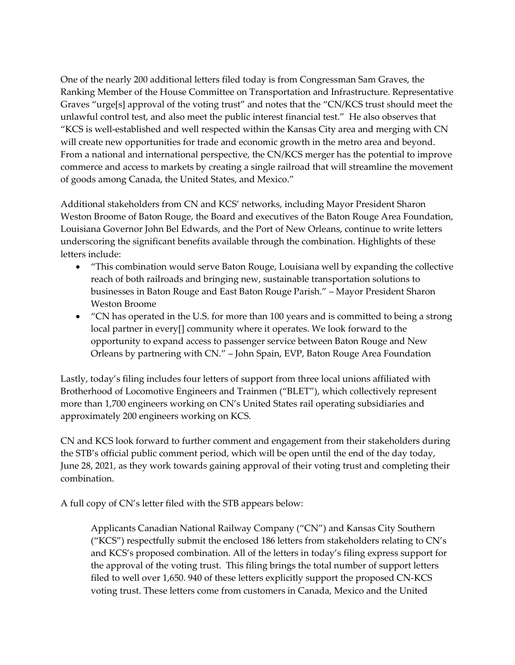One of the nearly 200 additional letters filed today is from Congressman Sam Graves, the Ranking Member of the House Committee on Transportation and Infrastructure. Representative Graves "urge[s] approval of the voting trust" and notes that the "CN/KCS trust should meet the unlawful control test, and also meet the public interest financial test." He also observes that "KCS is well-established and well respected within the Kansas City area and merging with CN will create new opportunities for trade and economic growth in the metro area and beyond. From a national and international perspective, the CN/KCS merger has the potential to improve commerce and access to markets by creating a single railroad that will streamline the movement of goods among Canada, the United States, and Mexico."

Additional stakeholders from CN and KCS' networks, including Mayor President Sharon Weston Broome of Baton Rouge, the Board and executives of the Baton Rouge Area Foundation, Louisiana Governor John Bel Edwards, and the Port of New Orleans, continue to write letters underscoring the significant benefits available through the combination. Highlights of these letters include:

- "This combination would serve Baton Rouge, Louisiana well by expanding the collective reach of both railroads and bringing new, sustainable transportation solutions to businesses in Baton Rouge and East Baton Rouge Parish." – Mayor President Sharon Weston Broome
- "CN has operated in the U.S. for more than 100 years and is committed to being a strong local partner in every[] community where it operates. We look forward to the opportunity to expand access to passenger service between Baton Rouge and New Orleans by partnering with CN." – John Spain, EVP, Baton Rouge Area Foundation

Lastly, today's filing includes four letters of support from three local unions affiliated with Brotherhood of Locomotive Engineers and Trainmen ("BLET"), which collectively represent more than 1,700 engineers working on CN's United States rail operating subsidiaries and approximately 200 engineers working on KCS.

CN and KCS look forward to further comment and engagement from their stakeholders during the STB's official public comment period, which will be open until the end of the day today, June 28, 2021, as they work towards gaining approval of their voting trust and completing their combination.

A full copy of CN's letter filed with the STB appears below:

Applicants Canadian National Railway Company ("CN") and Kansas City Southern ("KCS") respectfully submit the enclosed 186 letters from stakeholders relating to CN's and KCS's proposed combination. All of the letters in today's filing express support for the approval of the voting trust. This filing brings the total number of support letters filed to well over 1,650. 940 of these letters explicitly support the proposed CN-KCS voting trust. These letters come from customers in Canada, Mexico and the United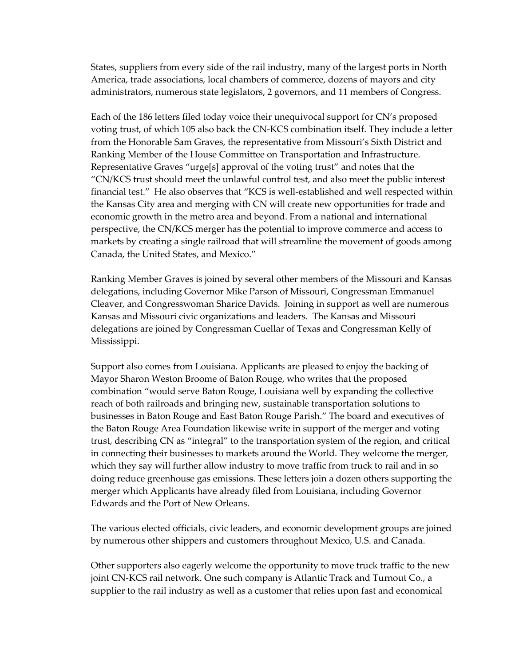States, suppliers from every side of the rail industry, many of the largest ports in North America, trade associations, local chambers of commerce, dozens of mayors and city administrators, numerous state legislators, 2 governors, and 11 members of Congress.

Each of the 186 letters filed today voice their unequivocal support for CN's proposed voting trust, of which 105 also back the CN-KCS combination itself. They include a letter from the Honorable Sam Graves, the representative from Missouri's Sixth District and Ranking Member of the House Committee on Transportation and Infrastructure. Representative Graves "urge[s] approval of the voting trust" and notes that the "CN/KCS trust should meet the unlawful control test, and also meet the public interest financial test." He also observes that "KCS is well-established and well respected within the Kansas City area and merging with CN will create new opportunities for trade and economic growth in the metro area and beyond. From a national and international perspective, the CN/KCS merger has the potential to improve commerce and access to markets by creating a single railroad that will streamline the movement of goods among Canada, the United States, and Mexico."

Ranking Member Graves is joined by several other members of the Missouri and Kansas delegations, including Governor Mike Parson of Missouri, Congressman Emmanuel Cleaver, and Congresswoman Sharice Davids. Joining in support as well are numerous Kansas and Missouri civic organizations and leaders. The Kansas and Missouri delegations are joined by Congressman Cuellar of Texas and Congressman Kelly of Mississippi.

Support also comes from Louisiana. Applicants are pleased to enjoy the backing of Mayor Sharon Weston Broome of Baton Rouge, who writes that the proposed combination "would serve Baton Rouge, Louisiana well by expanding the collective reach of both railroads and bringing new, sustainable transportation solutions to businesses in Baton Rouge and East Baton Rouge Parish." The board and executives of the Baton Rouge Area Foundation likewise write in support of the merger and voting trust, describing CN as "integral" to the transportation system of the region, and critical in connecting their businesses to markets around the World. They welcome the merger, which they say will further allow industry to move traffic from truck to rail and in so doing reduce greenhouse gas emissions. These letters join a dozen others supporting the merger which Applicants have already filed from Louisiana, including Governor Edwards and the Port of New Orleans.

The various elected officials, civic leaders, and economic development groups are joined by numerous other shippers and customers throughout Mexico, U.S. and Canada.

Other supporters also eagerly welcome the opportunity to move truck traffic to the new joint CN-KCS rail network. One such company is Atlantic Track and Turnout Co., a supplier to the rail industry as well as a customer that relies upon fast and economical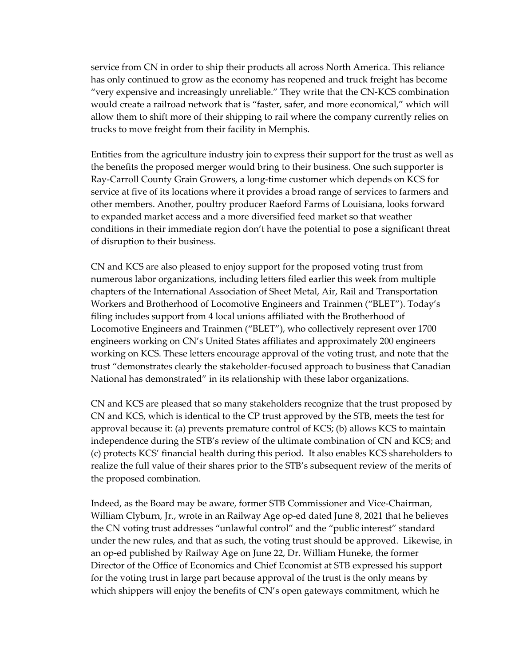service from CN in order to ship their products all across North America. This reliance has only continued to grow as the economy has reopened and truck freight has become "very expensive and increasingly unreliable." They write that the CN-KCS combination would create a railroad network that is "faster, safer, and more economical," which will allow them to shift more of their shipping to rail where the company currently relies on trucks to move freight from their facility in Memphis.

Entities from the agriculture industry join to express their support for the trust as well as the benefits the proposed merger would bring to their business. One such supporter is Ray-Carroll County Grain Growers, a long-time customer which depends on KCS for service at five of its locations where it provides a broad range of services to farmers and other members. Another, poultry producer Raeford Farms of Louisiana, looks forward to expanded market access and a more diversified feed market so that weather conditions in their immediate region don't have the potential to pose a significant threat of disruption to their business.

CN and KCS are also pleased to enjoy support for the proposed voting trust from numerous labor organizations, including letters filed earlier this week from multiple chapters of the International Association of Sheet Metal, Air, Rail and Transportation Workers and Brotherhood of Locomotive Engineers and Trainmen ("BLET"). Today's filing includes support from 4 local unions affiliated with the Brotherhood of Locomotive Engineers and Trainmen ("BLET"), who collectively represent over 1700 engineers working on CN's United States affiliates and approximately 200 engineers working on KCS. These letters encourage approval of the voting trust, and note that the trust "demonstrates clearly the stakeholder-focused approach to business that Canadian National has demonstrated" in its relationship with these labor organizations.

CN and KCS are pleased that so many stakeholders recognize that the trust proposed by CN and KCS, which is identical to the CP trust approved by the STB, meets the test for approval because it: (a) prevents premature control of KCS; (b) allows KCS to maintain independence during the STB's review of the ultimate combination of CN and KCS; and (c) protects KCS' financial health during this period. It also enables KCS shareholders to realize the full value of their shares prior to the STB's subsequent review of the merits of the proposed combination.

Indeed, as the Board may be aware, former STB Commissioner and Vice-Chairman, William Clyburn, Jr., wrote in an Railway Age op-ed dated June 8, 2021 that he believes the CN voting trust addresses "unlawful control" and the "public interest" standard under the new rules, and that as such, the voting trust should be approved. Likewise, in an op-ed published by Railway Age on June 22, Dr. William Huneke, the former Director of the Office of Economics and Chief Economist at STB expressed his support for the voting trust in large part because approval of the trust is the only means by which shippers will enjoy the benefits of CN's open gateways commitment, which he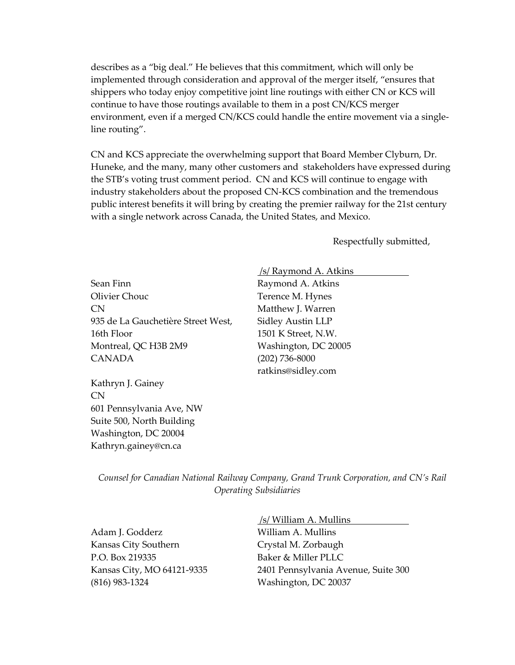describes as a "big deal." He believes that this commitment, which will only be implemented through consideration and approval of the merger itself, "ensures that shippers who today enjoy competitive joint line routings with either CN or KCS will continue to have those routings available to them in a post CN/KCS merger environment, even if a merged CN/KCS could handle the entire movement via a singleline routing".

CN and KCS appreciate the overwhelming support that Board Member Clyburn, Dr. Huneke, and the many, many other customers and stakeholders have expressed during the STB's voting trust comment period. CN and KCS will continue to engage with industry stakeholders about the proposed CN-KCS combination and the tremendous public interest benefits it will bring by creating the premier railway for the 21st century with a single network across Canada, the United States, and Mexico.

Respectfully submitted,

Sean Finn Olivier Chouc  $CN$ 935 de La Gauchetière Street West, 16th Floor Montreal, QC H3B 2M9 CANADA

/s/ Raymond A. Atkins Raymond A. Atkins Terence M. Hynes Matthew J. Warren Sidley Austin LLP 1501 K Street, N.W. Washington, DC 20005 (202) 736-8000 ratkins@sidley.com

Kathryn J. Gainey CN 601 Pennsylvania Ave, NW Suite 500, North Building Washington, DC 20004 Kathryn.gainey@cn.ca

*Counsel for Canadian National Railway Company, Grand Trunk Corporation, and CN's Rail Operating Subsidiaries*

Adam J. Godderz Kansas City Southern P.O. Box 219335 Kansas City, MO 64121-9335 (816) 983-1324

/s/ William A. Mullins William A. Mullins Crystal M. Zorbaugh Baker & Miller PLLC 2401 Pennsylvania Avenue, Suite 300 Washington, DC 20037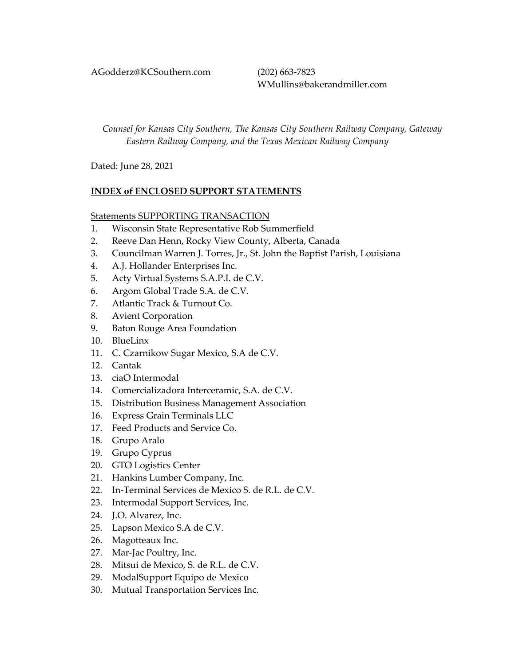AGodderz@KCSouthern.com (202) 663-7823

WMullins@bakerandmiller.com

*Counsel for Kansas City Southern, The Kansas City Southern Railway Company, Gateway Eastern Railway Company, and the Texas Mexican Railway Company*

Dated: June 28, 2021

# **INDEX of ENCLOSED SUPPORT STATEMENTS**

#### Statements SUPPORTING TRANSACTION

- 1. Wisconsin State Representative Rob Summerfield
- 2. Reeve Dan Henn, Rocky View County, Alberta, Canada
- 3. Councilman Warren J. Torres, Jr., St. John the Baptist Parish, Louisiana
- 4. A.J. Hollander Enterprises Inc.
- 5. Acty Virtual Systems S.A.P.I. de C.V.
- 6. Argom Global Trade S.A. de C.V.
- 7. Atlantic Track & Turnout Co.
- 8. Avient Corporation
- 9. Baton Rouge Area Foundation
- 10. BlueLinx
- 11. C. Czarnikow Sugar Mexico, S.A de C.V.
- 12. Cantak
- 13. ciaO Intermodal
- 14. Comercializadora Interceramic, S.A. de C.V.
- 15. Distribution Business Management Association
- 16. Express Grain Terminals LLC
- 17. Feed Products and Service Co.
- 18. Grupo Aralo
- 19. Grupo Cyprus
- 20. GTO Logistics Center
- 21. Hankins Lumber Company, Inc.
- 22. In-Terminal Services de Mexico S. de R.L. de C.V.
- 23. Intermodal Support Services, Inc.
- 24. J.O. Alvarez, Inc.
- 25. Lapson Mexico S.A de C.V.
- 26. Magotteaux Inc.
- 27. Mar-Jac Poultry, Inc.
- 28. Mitsui de Mexico, S. de R.L. de C.V.
- 29. ModalSupport Equipo de Mexico
- 30. Mutual Transportation Services Inc.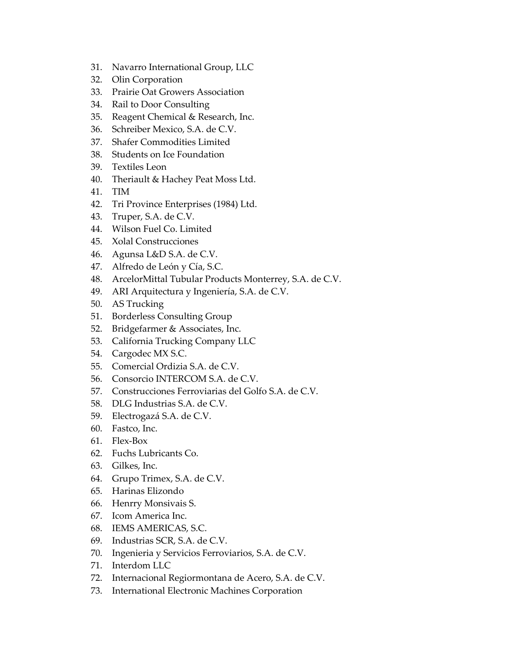- 31. Navarro International Group, LLC
- 32. Olin Corporation
- 33. Prairie Oat Growers Association
- 34. Rail to Door Consulting
- 35. Reagent Chemical & Research, Inc.
- 36. Schreiber Mexico, S.A. de C.V.
- 37. Shafer Commodities Limited
- 38. Students on Ice Foundation
- 39. Textiles Leon
- 40. Theriault & Hachey Peat Moss Ltd.
- 41. TIM
- 42. Tri Province Enterprises (1984) Ltd.
- 43. Truper, S.A. de C.V.
- 44. Wilson Fuel Co. Limited
- 45. Xolal Construcciones
- 46. Agunsa L&D S.A. de C.V.
- 47. Alfredo de León y Cía, S.C.
- 48. ArcelorMittal Tubular Products Monterrey, S.A. de C.V.
- 49. ARI Arquitectura y Ingeniería, S.A. de C.V.
- 50. AS Trucking
- 51. Borderless Consulting Group
- 52. Bridgefarmer & Associates, Inc.
- 53. California Trucking Company LLC
- 54. Cargodec MX S.C.
- 55. Comercial Ordizia S.A. de C.V.
- 56. Consorcio INTERCOM S.A. de C.V.
- 57. Construcciones Ferroviarias del Golfo S.A. de C.V.
- 58. DLG Industrias S.A. de C.V.
- 59. Electrogazá S.A. de C.V.
- 60. Fastco, Inc.
- 61. Flex-Box
- 62. Fuchs Lubricants Co.
- 63. Gilkes, Inc.
- 64. Grupo Trimex, S.A. de C.V.
- 65. Harinas Elizondo
- 66. Henrry Monsivais S.
- 67. Icom America Inc.
- 68. IEMS AMERICAS, S.C.
- 69. Industrias SCR, S.A. de C.V.
- 70. Ingenieria y Servicios Ferroviarios, S.A. de C.V.
- 71. Interdom LLC
- 72. Internacional Regiormontana de Acero, S.A. de C.V.
- 73. International Electronic Machines Corporation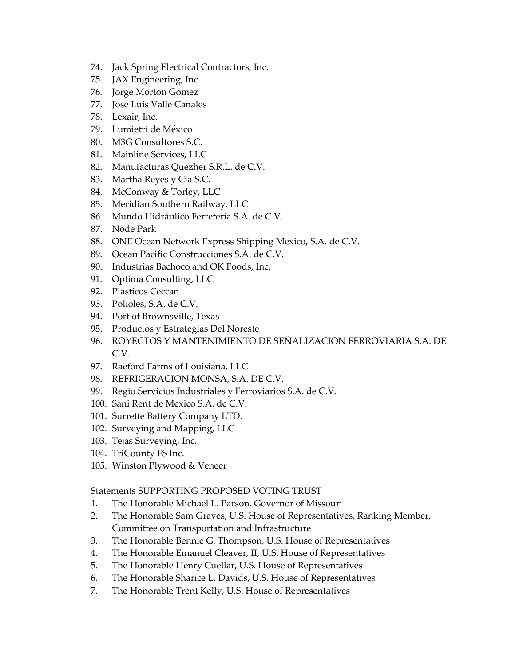- 74. Jack Spring Electrical Contractors, Inc.
- 75. JAX Engineering, Inc.
- 76. Jorge Morton Gomez
- 77. José Luis Valle Canales
- 78. Lexair, Inc.
- 79. Lumietri de México
- 80. M3G Consultores S.C.
- 81. Mainline Services, LLC
- 82. Manufacturas Quezher S.R.L. de C.V.
- 83. Martha Reyes y Cia S.C.
- 84. McConway & Torley, LLC
- 85. Meridian Southern Railway, LLC
- 86. Mundo Hidráulico Ferretería S.A. de C.V.
- 87. Node Park
- 88. ONE Ocean Network Express Shipping Mexico, S.A. de C.V.
- 89. Ocean Pacific Construcciones S.A. de C.V.
- 90. Industrias Bachoco and OK Foods, Inc.
- 91. Optima Consulting, LLC
- 92. Plásticos Ceccan
- 93. Polioles, S.A. de C.V.
- 94. Port of Brownsville, Texas
- 95. Productos y Estrategias Del Noreste
- 96. ROYECTOS Y MANTENIMIENTO DE SEÑALIZACION FERROVIARIA S.A. DE C.V.
- 97. Raeford Farms of Louisiana, LLC
- 98. REFRIGERACION MONSA, S.A. DE C.V.
- 99. Regio Servicios Industriales y Ferroviarios S.A. de C.V.
- 100. Sani Rent de Mexico S.A. de C.V.
- 101. Surrette Battery Company LTD.
- 102. Surveying and Mapping, LLC
- 103. Tejas Surveying, Inc.
- 104. TriCounty FS Inc.
- 105. Winston Plywood & Veneer

Statements SUPPORTING PROPOSED VOTING TRUST

- 1. The Honorable Michael L. Parson, Governor of Missouri
- 2. The Honorable Sam Graves, U.S. House of Representatives, Ranking Member, Committee on Transportation and Infrastructure
- 3. The Honorable Bennie G. Thompson, U.S. House of Representatives
- 4. The Honorable Emanuel Cleaver, II, U.S. House of Representatives
- 5. The Honorable Henry Cuellar, U.S. House of Representatives
- 6. The Honorable Sharice L. Davids, U.S. House of Representatives
- 7. The Honorable Trent Kelly, U.S. House of Representatives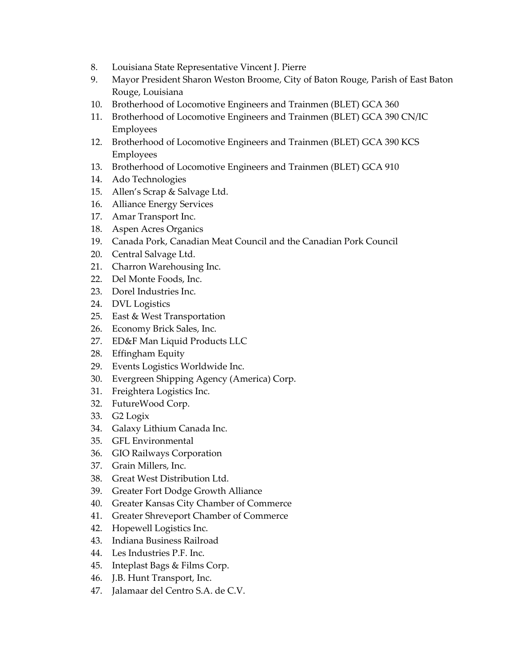- 8. Louisiana State Representative Vincent J. Pierre
- 9. Mayor President Sharon Weston Broome, City of Baton Rouge, Parish of East Baton Rouge, Louisiana
- 10. Brotherhood of Locomotive Engineers and Trainmen (BLET) GCA 360
- 11. Brotherhood of Locomotive Engineers and Trainmen (BLET) GCA 390 CN/IC Employees
- 12. Brotherhood of Locomotive Engineers and Trainmen (BLET) GCA 390 KCS Employees
- 13. Brotherhood of Locomotive Engineers and Trainmen (BLET) GCA 910
- 14. Ado Technologies
- 15. Allen's Scrap & Salvage Ltd.
- 16. Alliance Energy Services
- 17. Amar Transport Inc.
- 18. Aspen Acres Organics
- 19. Canada Pork, Canadian Meat Council and the Canadian Pork Council
- 20. Central Salvage Ltd.
- 21. Charron Warehousing Inc.
- 22. Del Monte Foods, Inc.
- 23. Dorel Industries Inc.
- 24. DVL Logistics
- 25. East & West Transportation
- 26. Economy Brick Sales, Inc.
- 27. ED&F Man Liquid Products LLC
- 28. Effingham Equity
- 29. Events Logistics Worldwide Inc.
- 30. Evergreen Shipping Agency (America) Corp.
- 31. Freightera Logistics Inc.
- 32. FutureWood Corp.
- 33. G2 Logix
- 34. Galaxy Lithium Canada Inc.
- 35. GFL Environmental
- 36. GIO Railways Corporation
- 37. Grain Millers, Inc.
- 38. Great West Distribution Ltd.
- 39. Greater Fort Dodge Growth Alliance
- 40. Greater Kansas City Chamber of Commerce
- 41. Greater Shreveport Chamber of Commerce
- 42. Hopewell Logistics Inc.
- 43. Indiana Business Railroad
- 44. Les Industries P.F. Inc.
- 45. Inteplast Bags & Films Corp.
- 46. J.B. Hunt Transport, Inc.
- 47. Jalamaar del Centro S.A. de C.V.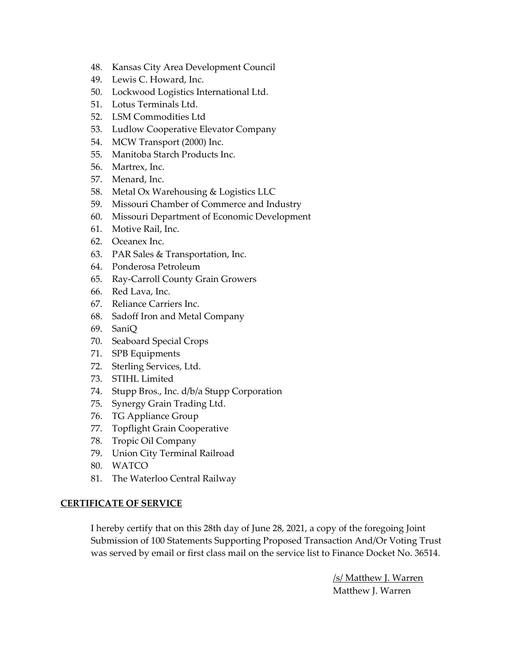- 48. Kansas City Area Development Council
- 49. Lewis C. Howard, Inc.
- 50. Lockwood Logistics International Ltd.
- 51. Lotus Terminals Ltd.
- 52. LSM Commodities Ltd
- 53. Ludlow Cooperative Elevator Company
- 54. MCW Transport (2000) Inc.
- 55. Manitoba Starch Products Inc.
- 56. Martrex, Inc.
- 57. Menard, Inc.
- 58. Metal Ox Warehousing & Logistics LLC
- 59. Missouri Chamber of Commerce and Industry
- 60. Missouri Department of Economic Development
- 61. Motive Rail, Inc.
- 62. Oceanex Inc.
- 63. PAR Sales & Transportation, Inc.
- 64. Ponderosa Petroleum
- 65. Ray-Carroll County Grain Growers
- 66. Red Lava, Inc.
- 67. Reliance Carriers Inc.
- 68. Sadoff Iron and Metal Company
- 69. SaniQ
- 70. Seaboard Special Crops
- 71. SPB Equipments
- 72. Sterling Services, Ltd.
- 73. STIHL Limited
- 74. Stupp Bros., Inc. d/b/a Stupp Corporation
- 75. Synergy Grain Trading Ltd.
- 76. TG Appliance Group
- 77. Topflight Grain Cooperative
- 78. Tropic Oil Company
- 79. Union City Terminal Railroad
- 80. WATCO
- 81. The Waterloo Central Railway

#### **CERTIFICATE OF SERVICE**

I hereby certify that on this 28th day of June 28, 2021, a copy of the foregoing Joint Submission of 100 Statements Supporting Proposed Transaction And/Or Voting Trust was served by email or first class mail on the service list to Finance Docket No. 36514.

> /s/ Matthew J. Warren Matthew J. Warren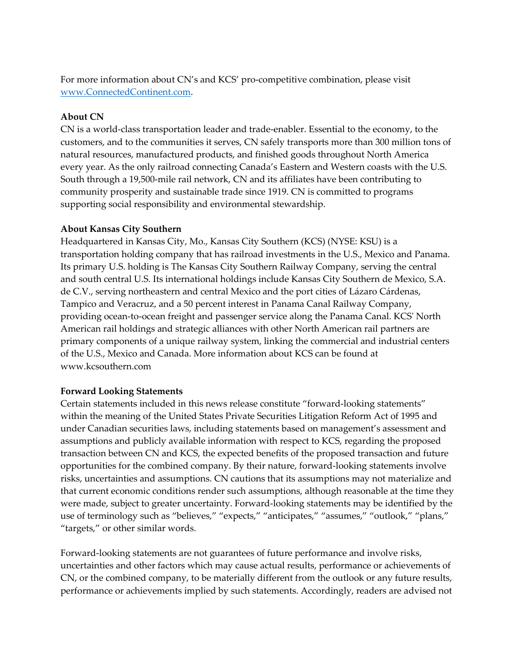For more information about CN's and KCS' pro-competitive combination, please visit [www.ConnectedContinent.com.](http://www.connectedcontinent.com/)

## **About CN**

CN is a world-class transportation leader and trade-enabler. Essential to the economy, to the customers, and to the communities it serves, CN safely transports more than 300 million tons of natural resources, manufactured products, and finished goods throughout North America every year. As the only railroad connecting Canada's Eastern and Western coasts with the U.S. South through a 19,500-mile rail network, CN and its affiliates have been contributing to community prosperity and sustainable trade since 1919. CN is committed to programs supporting social responsibility and environmental stewardship.

# **About Kansas City Southern**

Headquartered in Kansas City, Mo., Kansas City Southern (KCS) (NYSE: KSU) is a transportation holding company that has railroad investments in the U.S., Mexico and Panama. Its primary U.S. holding is The Kansas City Southern Railway Company, serving the central and south central U.S. Its international holdings include Kansas City Southern de Mexico, S.A. de C.V., serving northeastern and central Mexico and the port cities of Lázaro Cárdenas, Tampico and Veracruz, and a 50 percent interest in Panama Canal Railway Company, providing ocean-to-ocean freight and passenger service along the Panama Canal. KCS' North American rail holdings and strategic alliances with other North American rail partners are primary components of a unique railway system, linking the commercial and industrial centers of the U.S., Mexico and Canada. More information about KCS can be found at www.kcsouthern.com

## **Forward Looking Statements**

Certain statements included in this news release constitute "forward-looking statements" within the meaning of the United States Private Securities Litigation Reform Act of 1995 and under Canadian securities laws, including statements based on management's assessment and assumptions and publicly available information with respect to KCS, regarding the proposed transaction between CN and KCS, the expected benefits of the proposed transaction and future opportunities for the combined company. By their nature, forward-looking statements involve risks, uncertainties and assumptions. CN cautions that its assumptions may not materialize and that current economic conditions render such assumptions, although reasonable at the time they were made, subject to greater uncertainty. Forward-looking statements may be identified by the use of terminology such as "believes," "expects," "anticipates," "assumes," "outlook," "plans," "targets," or other similar words.

Forward-looking statements are not guarantees of future performance and involve risks, uncertainties and other factors which may cause actual results, performance or achievements of CN, or the combined company, to be materially different from the outlook or any future results, performance or achievements implied by such statements. Accordingly, readers are advised not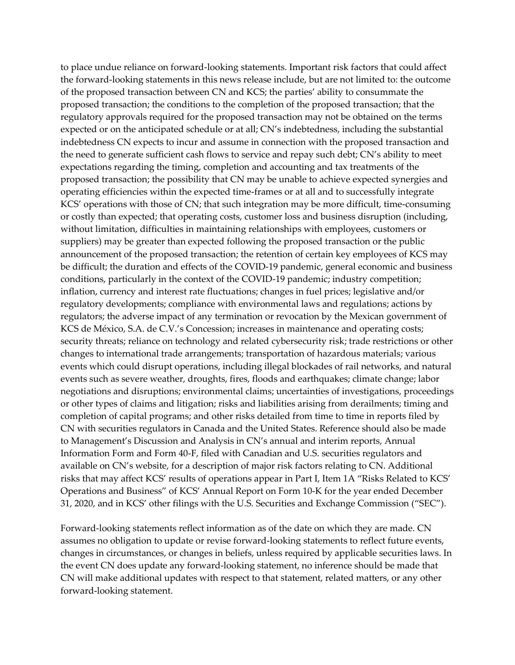to place undue reliance on forward-looking statements. Important risk factors that could affect the forward-looking statements in this news release include, but are not limited to: the outcome of the proposed transaction between CN and KCS; the parties' ability to consummate the proposed transaction; the conditions to the completion of the proposed transaction; that the regulatory approvals required for the proposed transaction may not be obtained on the terms expected or on the anticipated schedule or at all; CN's indebtedness, including the substantial indebtedness CN expects to incur and assume in connection with the proposed transaction and the need to generate sufficient cash flows to service and repay such debt; CN's ability to meet expectations regarding the timing, completion and accounting and tax treatments of the proposed transaction; the possibility that CN may be unable to achieve expected synergies and operating efficiencies within the expected time-frames or at all and to successfully integrate KCS' operations with those of CN; that such integration may be more difficult, time-consuming or costly than expected; that operating costs, customer loss and business disruption (including, without limitation, difficulties in maintaining relationships with employees, customers or suppliers) may be greater than expected following the proposed transaction or the public announcement of the proposed transaction; the retention of certain key employees of KCS may be difficult; the duration and effects of the COVID-19 pandemic, general economic and business conditions, particularly in the context of the COVID-19 pandemic; industry competition; inflation, currency and interest rate fluctuations; changes in fuel prices; legislative and/or regulatory developments; compliance with environmental laws and regulations; actions by regulators; the adverse impact of any termination or revocation by the Mexican government of KCS de México, S.A. de C.V.'s Concession; increases in maintenance and operating costs; security threats; reliance on technology and related cybersecurity risk; trade restrictions or other changes to international trade arrangements; transportation of hazardous materials; various events which could disrupt operations, including illegal blockades of rail networks, and natural events such as severe weather, droughts, fires, floods and earthquakes; climate change; labor negotiations and disruptions; environmental claims; uncertainties of investigations, proceedings or other types of claims and litigation; risks and liabilities arising from derailments; timing and completion of capital programs; and other risks detailed from time to time in reports filed by CN with securities regulators in Canada and the United States. Reference should also be made to Management's Discussion and Analysis in CN's annual and interim reports, Annual Information Form and Form 40-F, filed with Canadian and U.S. securities regulators and available on CN's website, for a description of major risk factors relating to CN. Additional risks that may affect KCS' results of operations appear in Part I, Item 1A "Risks Related to KCS' Operations and Business" of KCS' Annual Report on Form 10-K for the year ended December 31, 2020, and in KCS' other filings with the U.S. Securities and Exchange Commission ("SEC").

Forward-looking statements reflect information as of the date on which they are made. CN assumes no obligation to update or revise forward-looking statements to reflect future events, changes in circumstances, or changes in beliefs, unless required by applicable securities laws. In the event CN does update any forward-looking statement, no inference should be made that CN will make additional updates with respect to that statement, related matters, or any other forward-looking statement.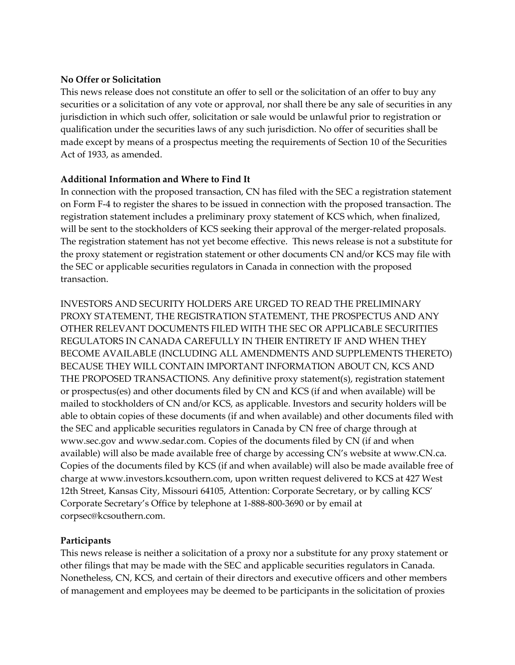#### **No Offer or Solicitation**

This news release does not constitute an offer to sell or the solicitation of an offer to buy any securities or a solicitation of any vote or approval, nor shall there be any sale of securities in any jurisdiction in which such offer, solicitation or sale would be unlawful prior to registration or qualification under the securities laws of any such jurisdiction. No offer of securities shall be made except by means of a prospectus meeting the requirements of Section 10 of the Securities Act of 1933, as amended.

## **Additional Information and Where to Find It**

In connection with the proposed transaction, CN has filed with the SEC a registration statement on Form F-4 to register the shares to be issued in connection with the proposed transaction. The registration statement includes a preliminary proxy statement of KCS which, when finalized, will be sent to the stockholders of KCS seeking their approval of the merger-related proposals. The registration statement has not yet become effective. This news release is not a substitute for the proxy statement or registration statement or other documents CN and/or KCS may file with the SEC or applicable securities regulators in Canada in connection with the proposed transaction.

INVESTORS AND SECURITY HOLDERS ARE URGED TO READ THE PRELIMINARY PROXY STATEMENT, THE REGISTRATION STATEMENT, THE PROSPECTUS AND ANY OTHER RELEVANT DOCUMENTS FILED WITH THE SEC OR APPLICABLE SECURITIES REGULATORS IN CANADA CAREFULLY IN THEIR ENTIRETY IF AND WHEN THEY BECOME AVAILABLE (INCLUDING ALL AMENDMENTS AND SUPPLEMENTS THERETO) BECAUSE THEY WILL CONTAIN IMPORTANT INFORMATION ABOUT CN, KCS AND THE PROPOSED TRANSACTIONS. Any definitive proxy statement(s), registration statement or prospectus(es) and other documents filed by CN and KCS (if and when available) will be mailed to stockholders of CN and/or KCS, as applicable. Investors and security holders will be able to obtain copies of these documents (if and when available) and other documents filed with the SEC and applicable securities regulators in Canada by CN free of charge through at www.sec.gov and www.sedar.com. Copies of the documents filed by CN (if and when available) will also be made available free of charge by accessing CN's website at www.CN.ca. Copies of the documents filed by KCS (if and when available) will also be made available free of charge at www.investors.kcsouthern.com, upon written request delivered to KCS at 427 West 12th Street, Kansas City, Missouri 64105, Attention: Corporate Secretary, or by calling KCS' Corporate Secretary's Office by telephone at 1-888-800-3690 or by email at corpsec@kcsouthern.com.

# **Participants**

This news release is neither a solicitation of a proxy nor a substitute for any proxy statement or other filings that may be made with the SEC and applicable securities regulators in Canada. Nonetheless, CN, KCS, and certain of their directors and executive officers and other members of management and employees may be deemed to be participants in the solicitation of proxies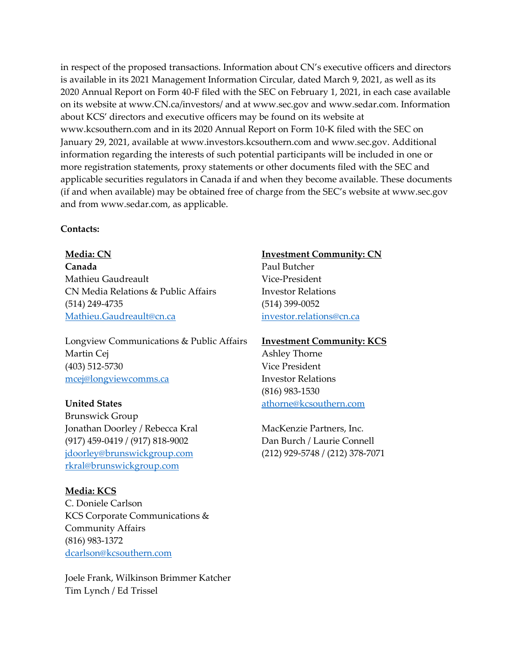in respect of the proposed transactions. Information about CN's executive officers and directors is available in its 2021 Management Information Circular, dated March 9, 2021, as well as its 2020 Annual Report on Form 40-F filed with the SEC on February 1, 2021, in each case available on its website at www.CN.ca/investors/ and at www.sec.gov and www.sedar.com. Information about KCS' directors and executive officers may be found on its website at www.kcsouthern.com and in its 2020 Annual Report on Form 10-K filed with the SEC on January 29, 2021, available at www.investors.kcsouthern.com and www.sec.gov. Additional information regarding the interests of such potential participants will be included in one or more registration statements, proxy statements or other documents filed with the SEC and applicable securities regulators in Canada if and when they become available. These documents (if and when available) may be obtained free of charge from the SEC's website at www.sec.gov and from www.sedar.com, as applicable.

#### **Contacts:**

**Media: CN Canada** Mathieu Gaudreault CN Media Relations & Public Affairs (514) 249-4735 [Mathieu.Gaudreault@cn.ca](mailto:Mathieu.Gaudreault@cn.ca)

Longview Communications & Public Affairs Martin Cej (403) 512-5730 [mcej@longviewcomms.ca](mailto:mcej@longviewcomms.ca)

#### **United States**

Brunswick Group Jonathan Doorley / Rebecca Kral (917) 459-0419 / (917) 818-9002 [jdoorley@brunswickgroup.com](mailto:jdoorley@brunswickgroup.com) [rkral@brunswickgroup.com](mailto:rkral@brunswickgroup.com)

**Media: KCS** C. Doniele Carlson KCS Corporate Communications & Community Affairs (816) 983-1372 [dcarlson@kcsouthern.com](mailto:dcarlson@kcsouthern.com)

Joele Frank, Wilkinson Brimmer Katcher Tim Lynch / Ed Trissel

# **Investment Community: CN**

Paul Butcher Vice-President Investor Relations (514) 399-0052 [investor.relations@cn.ca](mailto:investor.relations@cn.ca)

#### **Investment Community: KCS**

Ashley Thorne Vice President Investor Relations (816) 983-1530 [athorne@kcsouthern.com](mailto:athorne@kcsouthern.com)

MacKenzie Partners, Inc. Dan Burch / Laurie Connell (212) 929-5748 / (212) 378-7071